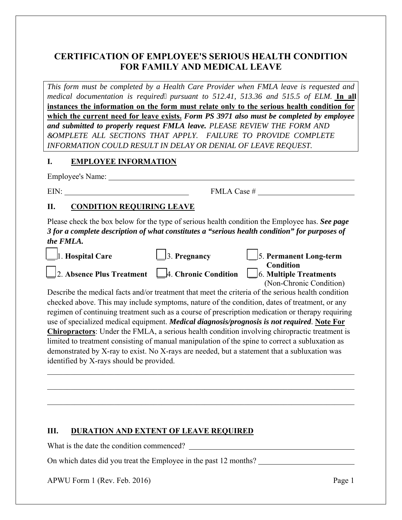# **CERTIFICATION OF EMPLOYEE'S SERIOUS HEALTH CONDITION FOR FAMILY AND MEDICAL LEAVE**

*This form must be completed by a Health Care Provider when FMLA leave is requested and medical documentation is required pursuant to 512.41, 513.36 and 515.5 of ELM.* **In all instances the information on the form must relate only to the serious health condition for which the current need for leave exists.** *Form PS 3971 also must be completed by employee and submitted to properly request FMLA leave. PLEASE REVIEW THE FORM AND &OMPLETE ALL SECTIONS THAT APPLY. FAILURE TO PROVIDE COMPLETE INFORMATION COULD RESULT IN DELAY OR DENIAL OF LEAVE REQUEST.* 

### **I. EMPLOYEE INFORMATION**

Employee's Name:

EIN: FMLA Case #

## **II. CONDITION REQUIRING LEAVE**

Please check the box below for the type of serious health condition the Employee has. *See page 3 for a complete description of what constitutes a "serious health condition" for purposes of the FMLA.*

| <b>Hospital Care</b>                                                                                 | Pregnancy            | 5. Permanent Long-term         |
|------------------------------------------------------------------------------------------------------|----------------------|--------------------------------|
|                                                                                                      |                      | <b>Condition</b>               |
| 2. Absence Plus Treatment                                                                            | 4. Chronic Condition | $\vert$ 6. Multiple Treatments |
|                                                                                                      |                      | (Non-Chronic Condition)        |
| Describe the medical facts and/or treatment that meet the criteria of the serious health condition   |                      |                                |
| checked above. This may include symptoms, nature of the condition, dates of treatment, or any        |                      |                                |
| regimen of continuing treatment such as a course of prescription medication or therapy requiring     |                      |                                |
| use of specialized medical equipment. Medical diagnosis/prognosis is not required. Note For          |                      |                                |
| <b>Chiropractors:</b> Under the FMLA, a serious health condition involving chiropractic treatment is |                      |                                |
| limited to treatment consisting of manual manipulation of the spine to correct a subluxation as      |                      |                                |
| demonstrated by X-ray to exist. No X-rays are needed, but a statement that a subluxation was         |                      |                                |
| identified by X-rays should be provided.                                                             |                      |                                |
|                                                                                                      |                      |                                |
|                                                                                                      |                      |                                |

\_\_\_\_\_\_\_\_\_\_\_\_\_\_\_\_\_\_\_\_\_\_\_\_\_\_\_\_\_\_\_\_\_\_\_\_\_\_\_\_\_\_\_\_\_\_\_\_\_\_\_\_\_\_\_\_\_\_\_\_\_\_\_\_\_\_\_\_\_\_\_\_\_\_\_\_\_\_

\_\_\_\_\_\_\_\_\_\_\_\_\_\_\_\_\_\_\_\_\_\_\_\_\_\_\_\_\_\_\_\_\_\_\_\_\_\_\_\_\_\_\_\_\_\_\_\_\_\_\_\_\_\_\_\_\_\_\_\_\_\_\_\_\_\_\_\_\_\_\_\_\_\_\_\_\_\_

### **III. DURATION AND EXTENT OF LEAVE REQUIRED**

What is the date the condition commenced?

On which dates did you treat the Employee in the past 12 months?

APWU Form 1 (Rev. Feb. 2016) Page 1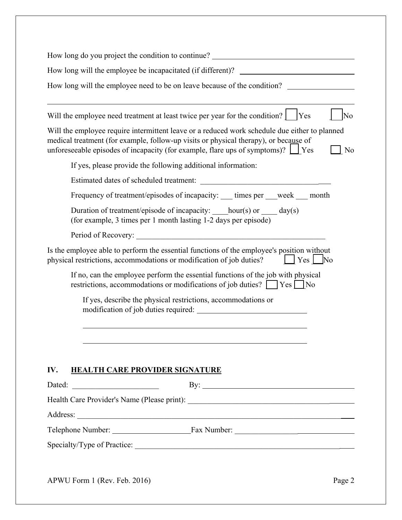| How long will the employee be incapacitated (if different)? _____________________                                                                                                                                                                                                                                                                                                                                                                    |                        |
|------------------------------------------------------------------------------------------------------------------------------------------------------------------------------------------------------------------------------------------------------------------------------------------------------------------------------------------------------------------------------------------------------------------------------------------------------|------------------------|
|                                                                                                                                                                                                                                                                                                                                                                                                                                                      |                        |
| How long will the employee need to be on leave because of the condition?                                                                                                                                                                                                                                                                                                                                                                             |                        |
| Will the employee need treatment at least twice per year for the condition?                                                                                                                                                                                                                                                                                                                                                                          | No<br><b>Yes</b>       |
| Will the employee require intermittent leave or a reduced work schedule due either to planned<br>medical treatment (for example, follow-up visits or physical therapy), or because of<br>unforeseeable episodes of incapacity (for example, flare ups of symptoms)? $\Box$ Yes                                                                                                                                                                       | N <sub>0</sub>         |
| If yes, please provide the following additional information:                                                                                                                                                                                                                                                                                                                                                                                         |                        |
|                                                                                                                                                                                                                                                                                                                                                                                                                                                      |                        |
| Frequency of treatment/episodes of incapacity: ____ times per ___week ____ month                                                                                                                                                                                                                                                                                                                                                                     |                        |
| Duration of treatment/episode of incapacity: ____hour(s) or _____ day(s)<br>(for example, 3 times per 1 month lasting 1-2 days per episode)                                                                                                                                                                                                                                                                                                          |                        |
|                                                                                                                                                                                                                                                                                                                                                                                                                                                      |                        |
| Is the employee able to perform the essential functions of the employee's position without<br>physical restrictions, accommodations or modification of job duties?<br>If no, can the employee perform the essential functions of the job with physical                                                                                                                                                                                               | $ $ $ $ $Yes$ $ $ $No$ |
| restrictions, accommodations or modifications of job duties? Ves No                                                                                                                                                                                                                                                                                                                                                                                  |                        |
| If yes, describe the physical restrictions, accommodations or                                                                                                                                                                                                                                                                                                                                                                                        |                        |
| IV.<br><b>HEALTH CARE PROVIDER SIGNATURE</b>                                                                                                                                                                                                                                                                                                                                                                                                         |                        |
| $\label{eq:2.1} \frac{1}{\sqrt{2\pi}}\left(\frac{1}{\sqrt{2\pi}}\right)^{2} \left(\frac{1}{\sqrt{2\pi}}\right)^{2} \left(\frac{1}{\sqrt{2\pi}}\right)^{2} \left(\frac{1}{\sqrt{2\pi}}\right)^{2} \left(\frac{1}{\sqrt{2\pi}}\right)^{2} \left(\frac{1}{\sqrt{2\pi}}\right)^{2} \left(\frac{1}{\sqrt{2\pi}}\right)^{2} \left(\frac{1}{\sqrt{2\pi}}\right)^{2} \left(\frac{1}{\sqrt{2\pi}}\right)^{2} \left(\frac{1}{\sqrt{2\pi}}\right)^{2$<br>Dated: |                        |
| By: $\qquad \qquad$                                                                                                                                                                                                                                                                                                                                                                                                                                  |                        |
|                                                                                                                                                                                                                                                                                                                                                                                                                                                      |                        |
|                                                                                                                                                                                                                                                                                                                                                                                                                                                      |                        |
|                                                                                                                                                                                                                                                                                                                                                                                                                                                      |                        |